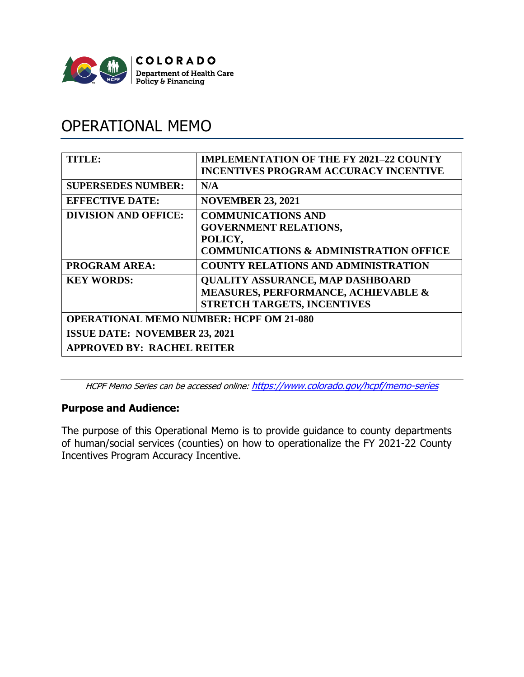

# OPERATIONAL MEMO

| TITLE:                                         | <b>IMPLEMENTATION OF THE FY 2021-22 COUNTY</b><br><b>INCENTIVES PROGRAM ACCURACY INCENTIVE</b>                            |  |
|------------------------------------------------|---------------------------------------------------------------------------------------------------------------------------|--|
| <b>SUPERSEDES NUMBER:</b>                      | N/A                                                                                                                       |  |
| <b>EFFECTIVE DATE:</b>                         | <b>NOVEMBER 23, 2021</b>                                                                                                  |  |
| <b>DIVISION AND OFFICE:</b>                    | <b>COMMUNICATIONS AND</b><br><b>GOVERNMENT RELATIONS,</b><br>POLICY,<br><b>COMMUNICATIONS &amp; ADMINISTRATION OFFICE</b> |  |
| <b>PROGRAM AREA:</b>                           | <b>COUNTY RELATIONS AND ADMINISTRATION</b>                                                                                |  |
| <b>KEY WORDS:</b>                              | <b>QUALITY ASSURANCE, MAP DASHBOARD</b><br><b>MEASURES, PERFORMANCE, ACHIEVABLE &amp;</b><br>STRETCH TARGETS, INCENTIVES  |  |
| <b>OPERATIONAL MEMO NUMBER: HCPF OM 21-080</b> |                                                                                                                           |  |
| <b>ISSUE DATE: NOVEMBER 23, 2021</b>           |                                                                                                                           |  |
| <b>APPROVED BY: RACHEL REITER</b>              |                                                                                                                           |  |

HCPF Memo Series can be accessed online: <https://www.colorado.gov/hcpf/memo-series>

## **Purpose and Audience:**

The purpose of this Operational Memo is to provide guidance to county departments of human/social services (counties) on how to operationalize the FY 2021-22 County Incentives Program Accuracy Incentive.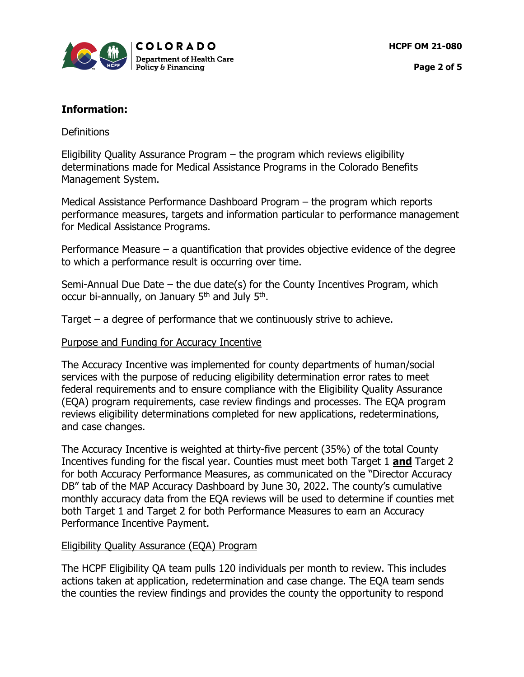

# **Information:**

## **Definitions**

Eligibility Quality Assurance Program – the program which reviews eligibility determinations made for Medical Assistance Programs in the Colorado Benefits Management System.

Medical Assistance Performance Dashboard Program – the program which reports performance measures, targets and information particular to performance management for Medical Assistance Programs.

Performance Measure – a quantification that provides objective evidence of the degree to which a performance result is occurring over time.

Semi-Annual Due Date – the due date(s) for the County Incentives Program, which occur bi-annually, on January 5<sup>th</sup> and July 5<sup>th</sup>.

Target  $-$  a degree of performance that we continuously strive to achieve.

## Purpose and Funding for Accuracy Incentive

The Accuracy Incentive was implemented for county departments of human/social services with the purpose of reducing eligibility determination error rates to meet federal requirements and to ensure compliance with the Eligibility Quality Assurance (EQA) program requirements, case review findings and processes. The EQA program reviews eligibility determinations completed for new applications, redeterminations, and case changes.

The Accuracy Incentive is weighted at thirty-five percent (35%) of the total County Incentives funding for the fiscal year. Counties must meet both Target 1 **and** Target 2 for both Accuracy Performance Measures, as communicated on the "Director Accuracy DB" tab of the MAP Accuracy Dashboard by June 30, 2022. The county's cumulative monthly accuracy data from the EQA reviews will be used to determine if counties met both Target 1 and Target 2 for both Performance Measures to earn an Accuracy Performance Incentive Payment.

## Eligibility Quality Assurance (EQA) Program

The HCPF Eligibility QA team pulls 120 individuals per month to review. This includes actions taken at application, redetermination and case change. The EQA team sends the counties the review findings and provides the county the opportunity to respond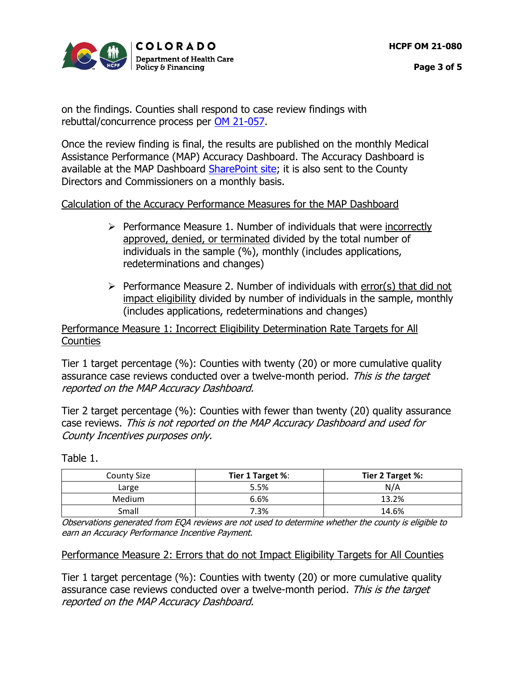

**Page 3 of 5**

on the findings. Counties shall respond to case review findings with rebuttal/concurrence process per [OM 21-057.](https://hcpf.colorado.gov/sites/hcpf/files/HCPF%20OM%2021-057%20HCPF%20Eligibility%20Quality%20Assurance%20Reviews.pdf)

Once the review finding is final, the results are published on the monthly Medical Assistance Performance (MAP) Accuracy Dashboard. The Accuracy Dashboard is available at the MAP Dashboard [SharePoint site;](https://cohcpf.sharepoint.com/sites/External-MAP/SitePages/Home.aspx) it is also sent to the County Directors and Commissioners on a monthly basis.

## Calculation of the Accuracy Performance Measures for the MAP Dashboard

- $\triangleright$  Performance Measure 1. Number of individuals that were incorrectly approved, denied, or terminated divided by the total number of individuals in the sample (%), monthly (includes applications, redeterminations and changes)
- $\triangleright$  Performance Measure 2. Number of individuals with error(s) that did not impact eligibility divided by number of individuals in the sample, monthly (includes applications, redeterminations and changes)

## Performance Measure 1: Incorrect Eligibility Determination Rate Targets for All **Counties**

Tier 1 target percentage (%): Counties with twenty (20) or more cumulative quality assurance case reviews conducted over a twelve-month period. This is the target reported on the MAP Accuracy Dashboard.

Tier 2 target percentage (%): Counties with fewer than twenty (20) quality assurance case reviews. This is not reported on the MAP Accuracy Dashboard and used for County Incentives purposes only.

| <b>County Size</b> | Tier 1 Target %: | Tier 2 Target %: |
|--------------------|------------------|------------------|
| Large              | 5.5%             | N/A              |
| Medium             | 6.6%             | 13.2%            |
| Small              | 7.3%             | 14.6%            |

Table 1.

Observations generated from EQA reviews are not used to determine whether the county is eligible to earn an Accuracy Performance Incentive Payment.

Performance Measure 2: Errors that do not Impact Eligibility Targets for All Counties

Tier 1 target percentage (%): Counties with twenty (20) or more cumulative quality assurance case reviews conducted over a twelve-month period. This is the target reported on the MAP Accuracy Dashboard.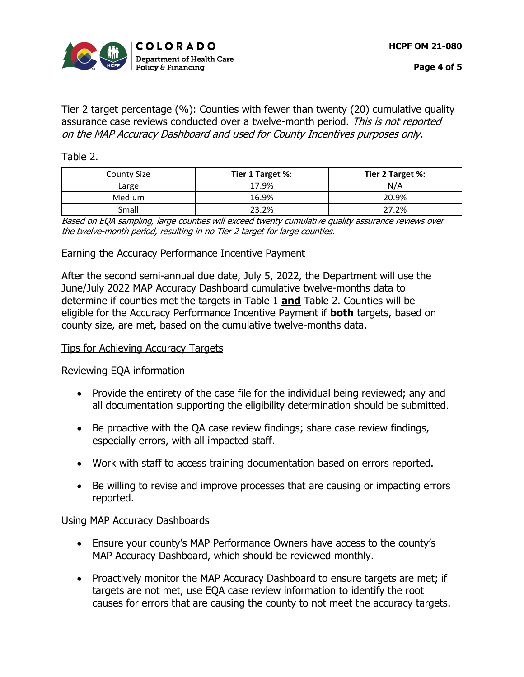

Tier 2 target percentage (%): Counties with fewer than twenty (20) cumulative quality assurance case reviews conducted over a twelve-month period. This is not reported on the MAP Accuracy Dashboard and used for County Incentives purposes only.

#### Table 2.

| <b>County Size</b> | Tier 1 Target %: | Tier 2 Target %: |
|--------------------|------------------|------------------|
| Large              | 17.9%            | N/A              |
| Medium             | 16.9%            | 20.9%            |
| Small              | 23.2%            | 27.2%            |

Based on EQA sampling, large counties will exceed twenty cumulative quality assurance reviews over the twelve-month period, resulting in no Tier 2 target for large counties.

#### Earning the Accuracy Performance Incentive Payment

After the second semi-annual due date, July 5, 2022, the Department will use the June/July 2022 MAP Accuracy Dashboard cumulative twelve-months data to determine if counties met the targets in Table 1 **and** Table 2. Counties will be eligible for the Accuracy Performance Incentive Payment if **both** targets, based on county size, are met, based on the cumulative twelve-months data.

#### Tips for Achieving Accuracy Targets

Reviewing EQA information

- Provide the entirety of the case file for the individual being reviewed; any and all documentation supporting the eligibility determination should be submitted.
- Be proactive with the QA case review findings; share case review findings, especially errors, with all impacted staff.
- Work with staff to access training documentation based on errors reported.
- Be willing to revise and improve processes that are causing or impacting errors reported.

Using MAP Accuracy Dashboards

- Ensure your county's MAP Performance Owners have access to the county's MAP Accuracy Dashboard, which should be reviewed monthly.
- Proactively monitor the MAP Accuracy Dashboard to ensure targets are met; if targets are not met, use EQA case review information to identify the root causes for errors that are causing the county to not meet the accuracy targets.